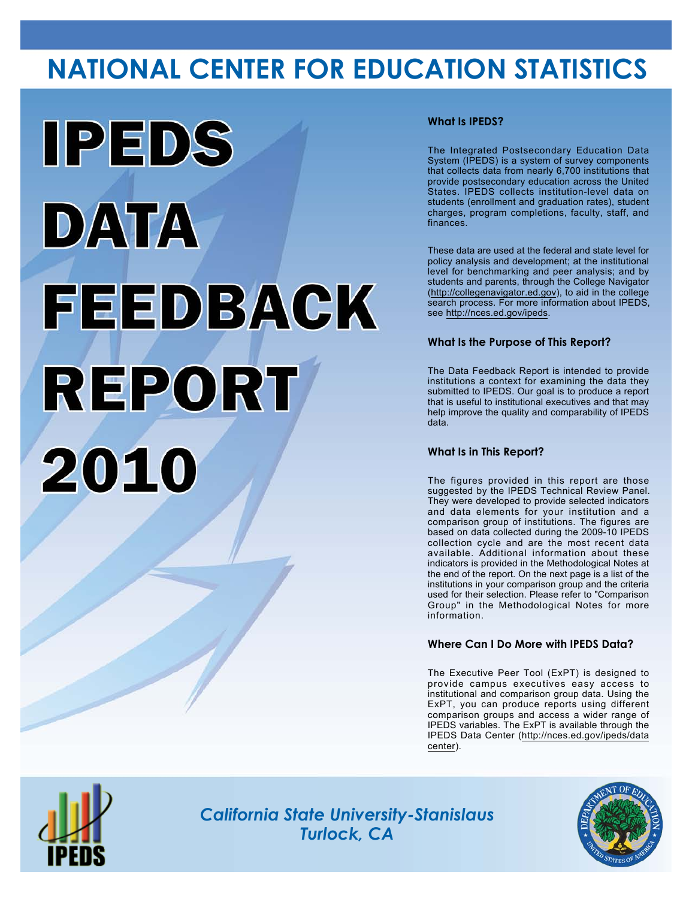# **NATIONAL CENTER FOR EDUCATION STATISTICS**



## **What Is IPEDS?**

The Integrated Postsecondary Education Data System (IPEDS) is a system of survey components that collects data from nearly 6,700 institutions that provide postsecondary education across the United States. IPEDS collects institution-level data on students (enrollment and graduation rates), student charges, program completions, faculty, staff, and finances.

These data are used at the federal and state level for policy analysis and development; at the institutional level for benchmarking and peer analysis; and by students and parents, through the College Navigator (<http://collegenavigator.ed.gov>), to aid in the college search process. For more information about IPEDS, see [http://nces.ed.gov/ipeds.](http://nces.ed.gov/ipeds)

### **What Is the Purpose of This Report?**

The Data Feedback Report is intended to provide institutions a context for examining the data they submitted to IPEDS. Our goal is to produce a report that is useful to institutional executives and that may help improve the quality and comparability of IPEDS data.

### **What Is in This Report?**

The figures provided in this report are those suggested by the IPEDS Technical Review Panel. They were developed to provide selected indicators and data elements for your institution and a comparison group of institutions. The figures are based on data collected during the 2009-10 IPEDS collection cycle and are the most recent data available. Additional information about these indicators is provided in the Methodological Notes at the end of the report. On the next page is a list of the institutions in your comparison group and the criteria used for their selection. Please refer to "Comparison Group" in the Methodological Notes for more information.

### **Where Can I Do More with IPEDS Data?**

The Executive Peer Tool (ExPT) is designed to provide campus executives easy access to institutional and comparison group data. Using the ExPT, you can produce reports using different comparison groups and access a wider range of IPEDS variables. The ExPT is available through the IPEDS Data Center ([http://nces.ed.gov/ipeds/data](http://nces.ed.gov/ipeds/datacenter) [center](http://nces.ed.gov/ipeds/datacenter)).



Image description. Cover Image End of image description.

*California State University-Stanislaus Turlock, CA*

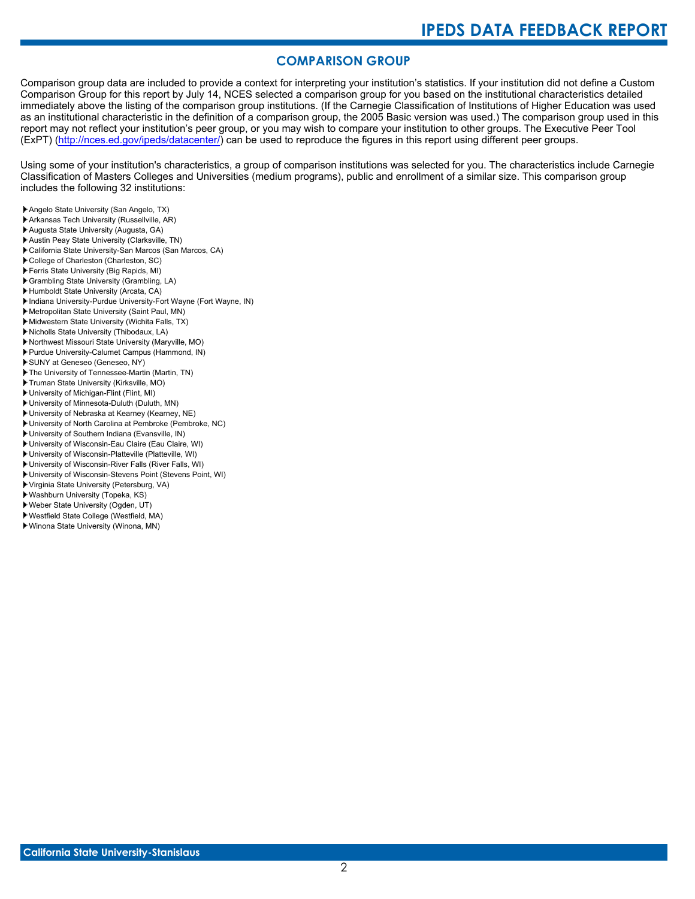# **COMPARISON GROUP**

Comparison group data are included to provide a context for interpreting your institution's statistics. If your institution did not define a Custom Comparison Group for this report by July 14, NCES selected a comparison group for you based on the institutional characteristics detailed immediately above the listing of the comparison group institutions. (If the Carnegie Classification of Institutions of Higher Education was used as an institutional characteristic in the definition of a comparison group, the 2005 Basic version was used.) The comparison group used in this report may not reflect your institution's peer group, or you may wish to compare your institution to other groups. The Executive Peer Tool (ExPT) [\(http://nces.ed.gov/ipeds/datacenter/\)](http://nces.ed.gov/ipeds/datacenter/) can be used to reproduce the figures in this report using different peer groups.

Using some of your institution's characteristics, a group of comparison institutions was selected for you. The characteristics include Carnegie Classification of Masters Colleges and Universities (medium programs), public and enrollment of a similar size. This comparison group includes the following 32 institutions:

- Angelo State University (San Angelo, TX)
- Arkansas Tech University (Russellville, AR)
- Augusta State University (Augusta, GA)
- Austin Peay State University (Clarksville, TN)
- California State University-San Marcos (San Marcos, CA)
- College of Charleston (Charleston, SC)
- Ferris State University (Big Rapids, MI)
- Grambling State University (Grambling, LA)
- Humboldt State University (Arcata, CA)
- Indiana University-Purdue University-Fort Wayne (Fort Wayne, IN)
- Metropolitan State University (Saint Paul, MN)
- Midwestern State University (Wichita Falls, TX)
- Nicholls State University (Thibodaux, LA)
- Northwest Missouri State University (Maryville, MO)
- Purdue University-Calumet Campus (Hammond, IN)
- SUNY at Geneseo (Geneseo, NY)
- The University of Tennessee-Martin (Martin, TN)
- Truman State University (Kirksville, MO)
- University of Michigan-Flint (Flint, MI)
- University of Minnesota-Duluth (Duluth, MN) University of Nebraska at Kearney (Kearney, NE)
- University of North Carolina at Pembroke (Pembroke, NC)
- University of Southern Indiana (Evansville, IN)
- University of Wisconsin-Eau Claire (Eau Claire, WI)
- University of Wisconsin-Platteville (Platteville, WI)
- University of Wisconsin-River Falls (River Falls, WI)
- University of Wisconsin-Stevens Point (Stevens Point, WI)
- Virginia State University (Petersburg, VA)
- Washburn University (Topeka, KS)
- Weber State University (Ogden, UT)
- Westfield State College (Westfield, MA)
- Winona State University (Winona, MN)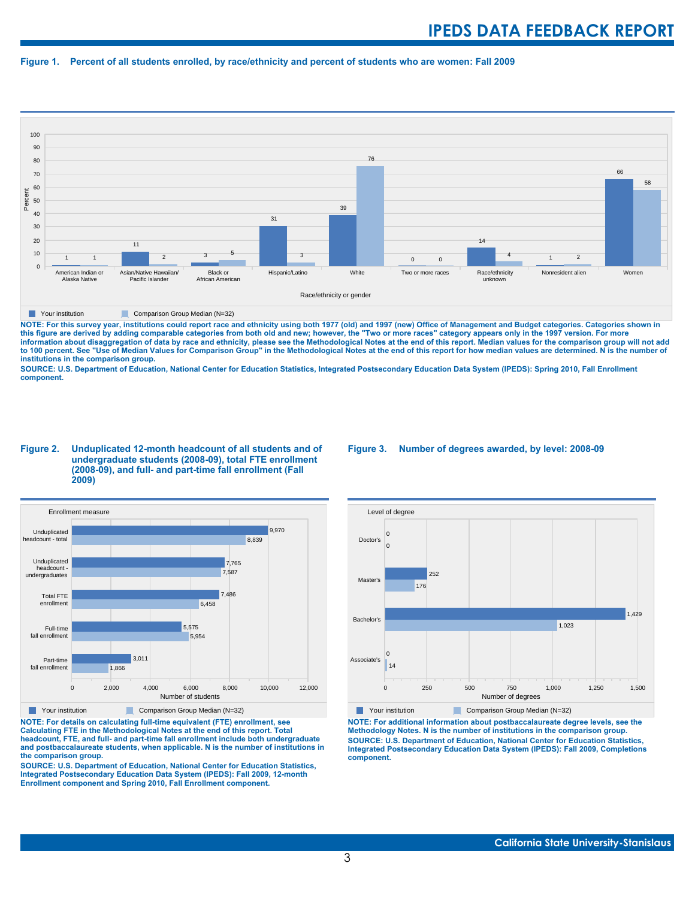#### **Figure 1. Percent of all students enrolled, by race/ethnicity and percent of students who are women: Fall 2009**



**The Comparison Group Median (N=32)** Comparison Group Median (N=32)

NOTE: For this survey year, institutions could report race and ethnicity using both 1977 (old) and 1997 (new) Office of Management and Budget categories. Categories shown in<br>this figure are derived by adding comparable cat **information about disaggregation of data by race and ethnicity, please see the Methodological Notes at the end of this report. Median values for the comparison group will not add to 100 percent. See "Use of Median Values for Comparison Group" in the Methodological Notes at the end of this report for how median values are determined. N is the number of institutions in the comparison group.**

**SOURCE: U.S. Department of Education, National Center for Education Statistics, Integrated Postsecondary Education Data System (IPEDS): Spring 2010, Fall Enrollment component.**

#### **Figure 2. Unduplicated 12-month headcount of all students and of undergraduate students (2008-09), total FTE enrollment (2008-09), and full- and part-time fall enrollment (Fall 2009)**



**Parison Comparison Group Median (N=32)** 

**NOTE: For details on calculating full-time equivalent (FTE) enrollment, see Calculating FTE in the Methodological Notes at the end of this report. Total headcount, FTE, and full- and part-time fall enrollment include both undergraduate and postbaccalaureate students, when applicable. N is the number of institutions in the comparison group.**

**SOURCE: U.S. Department of Education, National Center for Education Statistics, Integrated Postsecondary Education Data System (IPEDS): Fall 2009, 12-month Enrollment component and Spring 2010, Fall Enrollment component.**

#### **Figure 3. Number of degrees awarded, by level: 2008-09**



**NOTE: For additional information about postbaccalaureate degree levels, see the Methodology Notes. N is the number of institutions in the comparison group. SOURCE: U.S. Department of Education, National Center for Education Statistics, Integrated Postsecondary Education Data System (IPEDS): Fall 2009, Completions component.**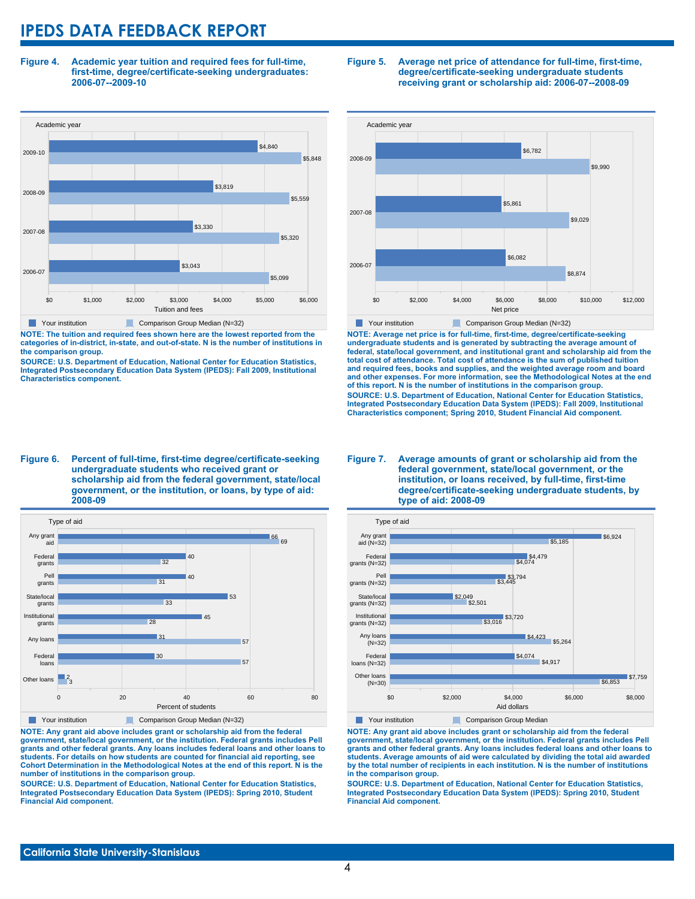**Figure 4. Academic year tuition and required fees for full-time, first-time, degree/certificate-seeking undergraduates: 2006-07--2009-10**



**NOTE: The tuition and required fees shown here are the lowest reported from the categories of in-district, in-state, and out-of-state. N is the number of institutions in the comparison group.**

**SOURCE: U.S. Department of Education, National Center for Education Statistics, Integrated Postsecondary Education Data System (IPEDS): Fall 2009, Institutional Characteristics component.**

#### **Figure 5. Average net price of attendance for full-time, first-time, degree/certificate-seeking undergraduate students receiving grant or scholarship aid: 2006-07--2008-09**



**NOTE: Average net price is for full-time, first-time, degree/certificate-seeking undergraduate students and is generated by subtracting the average amount of federal, state/local government, and institutional grant and scholarship aid from the total cost of attendance. Total cost of attendance is the sum of published tuition and required fees, books and supplies, and the weighted average room and board and other expenses. For more information, see the Methodological Notes at the end of this report. N is the number of institutions in the comparison group. SOURCE: U.S. Department of Education, National Center for Education Statistics, Integrated Postsecondary Education Data System (IPEDS): Fall 2009, Institutional Characteristics component; Spring 2010, Student Financial Aid component.**

#### **Figure 6. Percent of full-time, first-time degree/certificate-seeking undergraduate students who received grant or scholarship aid from the federal government, state/local government, or the institution, or loans, by type of aid: 2008-09**



**NOTE: Any grant aid above includes grant or scholarship aid from the federal government, state/local government, or the institution. Federal grants includes Pell grants and other federal grants. Any loans includes federal loans and other loans to students. For details on how students are counted for financial aid reporting, see Cohort Determination in the Methodological Notes at the end of this report. N is the number of institutions in the comparison group.**

**SOURCE: U.S. Department of Education, National Center for Education Statistics, Integrated Postsecondary Education Data System (IPEDS): Spring 2010, Student Financial Aid component.**

#### **Figure 7. Average amounts of grant or scholarship aid from the federal government, state/local government, or the institution, or loans received, by full-time, first-time degree/certificate-seeking undergraduate students, by type of aid: 2008-09**



**NOTE: Any grant aid above includes grant or scholarship aid from the federal government, state/local government, or the institution. Federal grants includes Pell grants and other federal grants. Any loans includes federal loans and other loans to students. Average amounts of aid were calculated by dividing the total aid awarded by the total number of recipients in each institution. N is the number of institutions in the comparison group.**

**SOURCE: U.S. Department of Education, National Center for Education Statistics, Integrated Postsecondary Education Data System (IPEDS): Spring 2010, Student Financial Aid component.**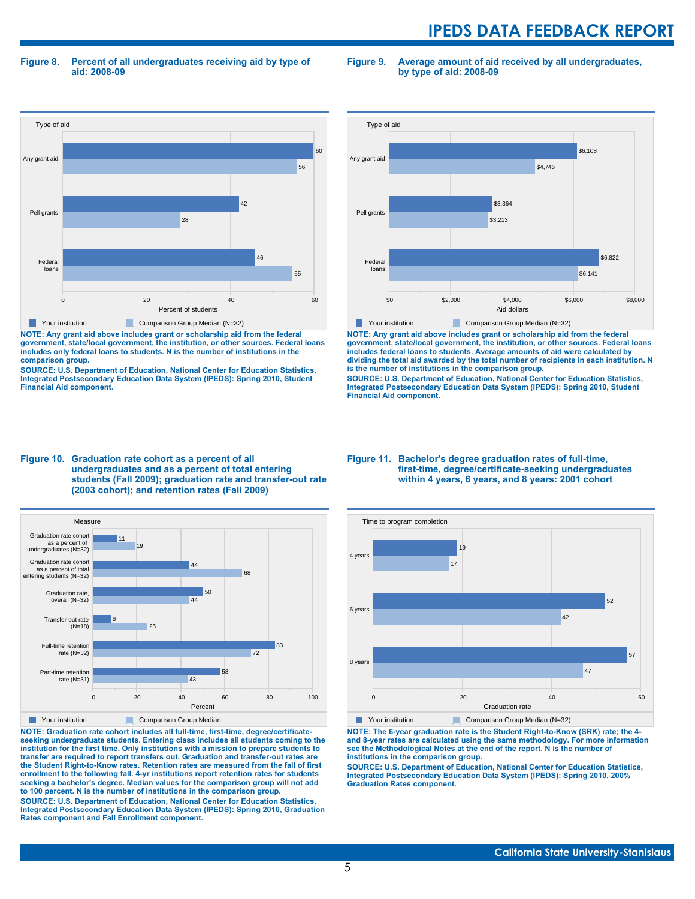**Figure 8. Percent of all undergraduates receiving aid by type of aid: 2008-09**

**Figure 9. Average amount of aid received by all undergraduates, by type of aid: 2008-09**



**NOTE: Any grant aid above includes grant or scholarship aid from the federal government, state/local government, the institution, or other sources. Federal loans includes only federal loans to students. N is the number of institutions in the comparison group.**

**SOURCE: U.S. Department of Education, National Center for Education Statistics, Integrated Postsecondary Education Data System (IPEDS): Spring 2010, Student Financial Aid component.**



**NOTE: Any grant aid above includes grant or scholarship aid from the federal government, state/local government, the institution, or other sources. Federal loans includes federal loans to students. Average amounts of aid were calculated by dividing the total aid awarded by the total number of recipients in each institution. N is the number of institutions in the comparison group.**

**SOURCE: U.S. Department of Education, National Center for Education Statistics, Integrated Postsecondary Education Data System (IPEDS): Spring 2010, Student Financial Aid component.**





**NOTE: Graduation rate cohort includes all full-time, first-time, degree/certificateseeking undergraduate students. Entering class includes all students coming to the institution for the first time. Only institutions with a mission to prepare students to transfer are required to report transfers out. Graduation and transfer-out rates are the Student Right-to-Know rates. Retention rates are measured from the fall of first enrollment to the following fall. 4-yr institutions report retention rates for students seeking a bachelor's degree. Median values for the comparison group will not add to 100 percent. N is the number of institutions in the comparison group.**

**SOURCE: U.S. Department of Education, National Center for Education Statistics, Integrated Postsecondary Education Data System (IPEDS): Spring 2010, Graduation Rates component and Fall Enrollment component.**

#### **Figure 11. Bachelor's degree graduation rates of full-time, first-time, degree/certificate-seeking undergraduates within 4 years, 6 years, and 8 years: 2001 cohort**



**NOTE: The 6-year graduation rate is the Student Right-to-Know (SRK) rate; the 4 and 8-year rates are calculated using the same methodology. For more information see the Methodological Notes at the end of the report. N is the number of institutions in the comparison group.**

**SOURCE: U.S. Department of Education, National Center for Education Statistics, Integrated Postsecondary Education Data System (IPEDS): Spring 2010, 200% Graduation Rates component.**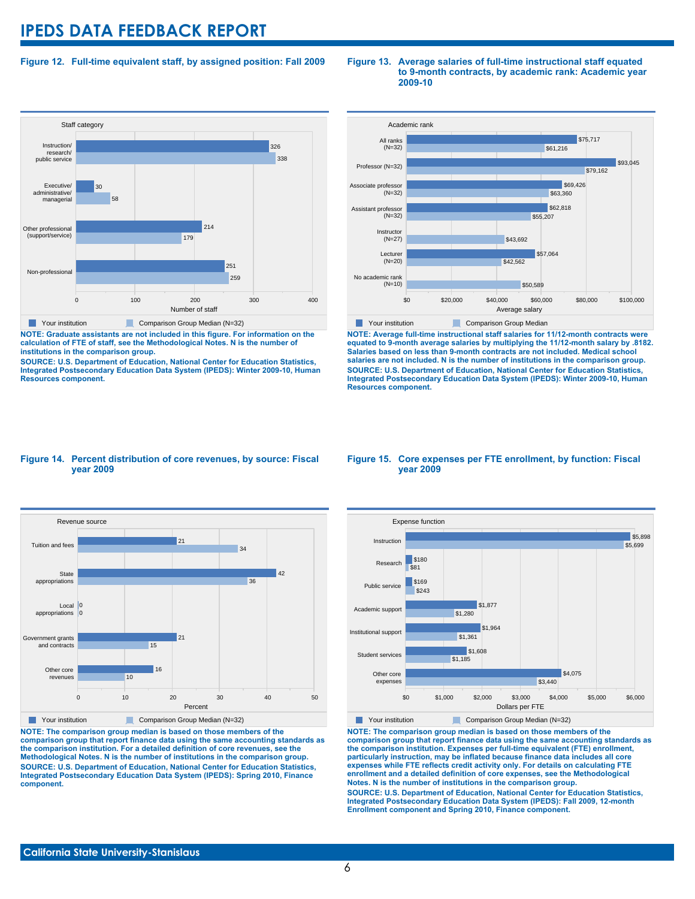### **Figure 12. Full-time equivalent staff, by assigned position: Fall 2009**



**NOTE: Graduate assistants are not included in this figure. For information on the calculation of FTE of staff, see the Methodological Notes. N is the number of institutions in the comparison group.**

**SOURCE: U.S. Department of Education, National Center for Education Statistics, Integrated Postsecondary Education Data System (IPEDS): Winter 2009-10, Human Resources component.**

#### **Figure 13. Average salaries of full-time instructional staff equated to 9-month contracts, by academic rank: Academic year 2009-10**



**NOTE: Average full-time instructional staff salaries for 11/12-month contracts were equated to 9-month average salaries by multiplying the 11/12-month salary by .8182. Salaries based on less than 9-month contracts are not included. Medical school salaries are not included. N is the number of institutions in the comparison group. SOURCE: U.S. Department of Education, National Center for Education Statistics, Integrated Postsecondary Education Data System (IPEDS): Winter 2009-10, Human Resources component.**

#### **Figure 14. Percent distribution of core revenues, by source: Fiscal year 2009**



**NOTE: The comparison group median is based on those members of the comparison group that report finance data using the same accounting standards as the comparison institution. For a detailed definition of core revenues, see the Methodological Notes. N is the number of institutions in the comparison group. SOURCE: U.S. Department of Education, National Center for Education Statistics, Integrated Postsecondary Education Data System (IPEDS): Spring 2010, Finance component.**

#### **Figure 15. Core expenses per FTE enrollment, by function: Fiscal year 2009**



**NOTE: The comparison group median is based on those members of the comparison group that report finance data using the same accounting standards as the comparison institution. Expenses per full-time equivalent (FTE) enrollment, particularly instruction, may be inflated because finance data includes all core expenses while FTE reflects credit activity only. For details on calculating FTE enrollment and a detailed definition of core expenses, see the Methodological Notes. N is the number of institutions in the comparison group. SOURCE: U.S. Department of Education, National Center for Education Statistics, Integrated Postsecondary Education Data System (IPEDS): Fall 2009, 12-month Enrollment component and Spring 2010, Finance component.**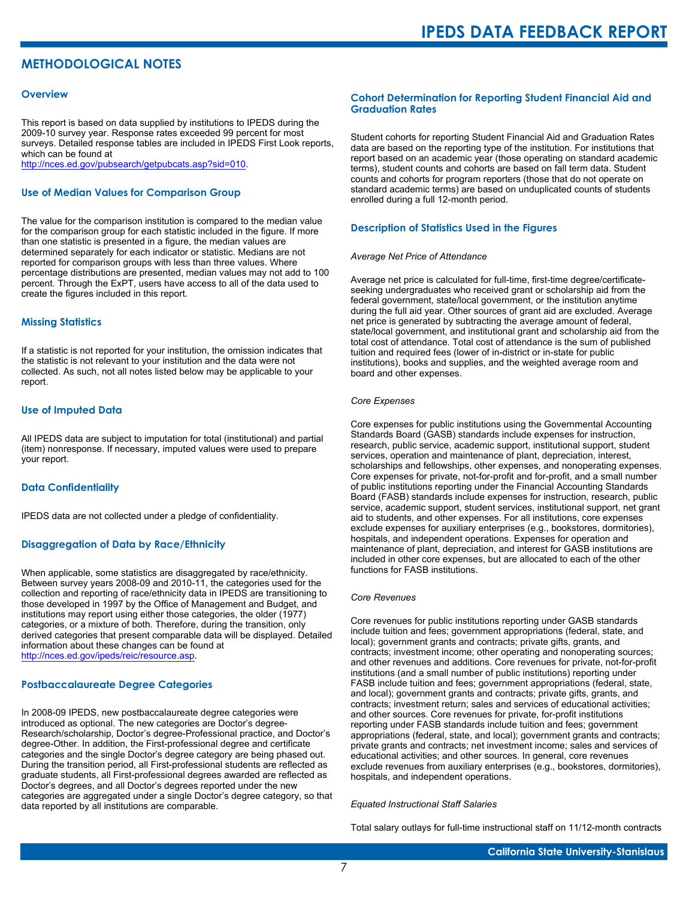# **METHODOLOGICAL NOTES**

#### **Overview**

This report is based on data supplied by institutions to IPEDS during the 2009-10 survey year. Response rates exceeded 99 percent for most surveys. Detailed response tables are included in IPEDS First Look reports, which can be found at [http://nces.ed.gov/pubsearch/getpubcats.asp?sid=010.](http://nces.ed.gov/pubsearch/getpubcats.asp?sid=010)

#### **Use of Median Values for Comparison Group**

The value for the comparison institution is compared to the median value for the comparison group for each statistic included in the figure. If more than one statistic is presented in a figure, the median values are determined separately for each indicator or statistic. Medians are not reported for comparison groups with less than three values. Where percentage distributions are presented, median values may not add to 100 percent. Through the ExPT, users have access to all of the data used to create the figures included in this report.

#### **Missing Statistics**

If a statistic is not reported for your institution, the omission indicates that the statistic is not relevant to your institution and the data were not collected. As such, not all notes listed below may be applicable to your report.

#### **Use of Imputed Data**

All IPEDS data are subject to imputation for total (institutional) and partial (item) nonresponse. If necessary, imputed values were used to prepare your report.

#### **Data Confidentiality**

IPEDS data are not collected under a pledge of confidentiality.

#### **Disaggregation of Data by Race/Ethnicity**

When applicable, some statistics are disaggregated by race/ethnicity. Between survey years 2008-09 and 2010-11, the categories used for the collection and reporting of race/ethnicity data in IPEDS are transitioning to those developed in 1997 by the Office of Management and Budget, and institutions may report using either those categories, the older (1977) categories, or a mixture of both. Therefore, during the transition, only derived categories that present comparable data will be displayed. Detailed information about these changes can be found at <http://nces.ed.gov/ipeds/reic/resource.asp>.

#### **Postbaccalaureate Degree Categories**

In 2008-09 IPEDS, new postbaccalaureate degree categories were introduced as optional. The new categories are Doctor's degree-Research/scholarship, Doctor's degree-Professional practice, and Doctor's degree-Other. In addition, the First-professional degree and certificate categories and the single Doctor's degree category are being phased out. During the transition period, all First-professional students are reflected as graduate students, all First-professional degrees awarded are reflected as Doctor's degrees, and all Doctor's degrees reported under the new categories are aggregated under a single Doctor's degree category, so that data reported by all institutions are comparable.

#### **Cohort Determination for Reporting Student Financial Aid and Graduation Rates**

Student cohorts for reporting Student Financial Aid and Graduation Rates data are based on the reporting type of the institution. For institutions that report based on an academic year (those operating on standard academic terms), student counts and cohorts are based on fall term data. Student counts and cohorts for program reporters (those that do not operate on standard academic terms) are based on unduplicated counts of students enrolled during a full 12-month period.

#### **Description of Statistics Used in the Figures**

#### *Average Net Price of Attendance*

Average net price is calculated for full-time, first-time degree/certificateseeking undergraduates who received grant or scholarship aid from the federal government, state/local government, or the institution anytime during the full aid year. Other sources of grant aid are excluded. Average net price is generated by subtracting the average amount of federal, state/local government, and institutional grant and scholarship aid from the total cost of attendance. Total cost of attendance is the sum of published tuition and required fees (lower of in-district or in-state for public institutions), books and supplies, and the weighted average room and board and other expenses.

#### *Core Expenses*

Core expenses for public institutions using the Governmental Accounting Standards Board (GASB) standards include expenses for instruction, research, public service, academic support, institutional support, student services, operation and maintenance of plant, depreciation, interest, scholarships and fellowships, other expenses, and nonoperating expenses. Core expenses for private, not-for-profit and for-profit, and a small number of public institutions reporting under the Financial Accounting Standards Board (FASB) standards include expenses for instruction, research, public service, academic support, student services, institutional support, net grant aid to students, and other expenses. For all institutions, core expenses exclude expenses for auxiliary enterprises (e.g., bookstores, dormitories), hospitals, and independent operations. Expenses for operation and maintenance of plant, depreciation, and interest for GASB institutions are included in other core expenses, but are allocated to each of the other functions for FASB institutions.

#### *Core Revenues*

Core revenues for public institutions reporting under GASB standards include tuition and fees; government appropriations (federal, state, and local); government grants and contracts; private gifts, grants, and contracts; investment income; other operating and nonoperating sources; and other revenues and additions. Core revenues for private, not-for-profit institutions (and a small number of public institutions) reporting under FASB include tuition and fees; government appropriations (federal, state, and local); government grants and contracts; private gifts, grants, and contracts; investment return; sales and services of educational activities; and other sources. Core revenues for private, for-profit institutions reporting under FASB standards include tuition and fees; government appropriations (federal, state, and local); government grants and contracts; private grants and contracts; net investment income; sales and services of educational activities; and other sources. In general, core revenues exclude revenues from auxiliary enterprises (e.g., bookstores, dormitories), hospitals, and independent operations.

#### *Equated Instructional Staff Salaries*

Total salary outlays for full-time instructional staff on 11/12-month contracts